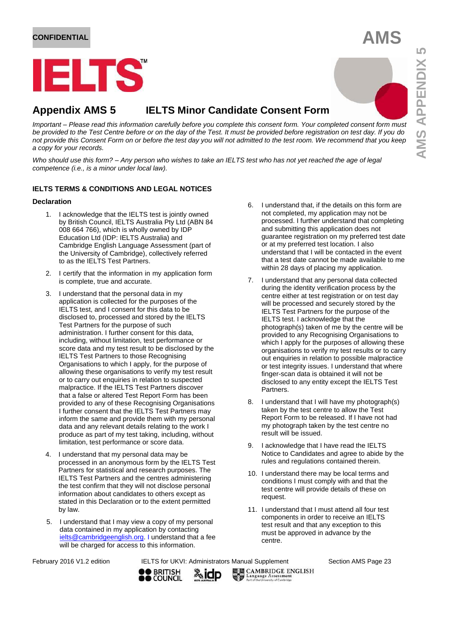## **CONFIDENTIAL AMS**

# ELTS

### **Appendix AMS 5 IELTS Minor Candidate Consent Form**

*Important – Please read this information carefully before you complete this consent form. Your completed consent form must be provided to the Test Centre before or on the day of the Test. It must be provided before registration on test day. If you do not provide this Consent Form on or before the test day you will not admitted to the test room. We recommend that you keep a copy for your records.*

*Who should use this form? – Any person who wishes to take an IELTS test who has not yet reached the age of legal competence (i.e., is a minor under local law).*

#### **IELTS TERMS & CONDITIONS AND LEGAL NOTICES**

#### **Declaration**

- 1. I acknowledge that the IELTS test is jointly owned by British Council, IELTS Australia Pty Ltd (ABN 84 008 664 766), which is wholly owned by IDP Education Ltd (IDP: IELTS Australia) and Cambridge English Language Assessment (part of the University of Cambridge), collectively referred to as the IELTS Test Partners.
- 2. I certify that the information in my application form is complete, true and accurate.
- 3. I understand that the personal data in my application is collected for the purposes of the IELTS test, and I consent for this data to be disclosed to, processed and stored by the IELTS Test Partners for the purpose of such administration. I further consent for this data, including, without limitation, test performance or score data and my test result to be disclosed by the IELTS Test Partners to those Recognising Organisations to which I apply, for the purpose of allowing these organisations to verify my test result or to carry out enquiries in relation to suspected malpractice. If the IELTS Test Partners discover that a false or altered Test Report Form has been provided to any of these Recognising Organisations I further consent that the IELTS Test Partners may inform the same and provide them with my personal data and any relevant details relating to the work I produce as part of my test taking, including, without limitation, test performance or score data.
- 4. I understand that my personal data may be processed in an anonymous form by the IELTS Test Partners for statistical and research purposes. The IELTS Test Partners and the centres administering the test confirm that they will not disclose personal information about candidates to others except as stated in this Declaration or to the extent permitted by law.
- 5. I understand that I may view a copy of my personal data contained in my application by contacting [ielts@cambridgeenglish.org.](mailto:ielts@cambridgeenglish.org) I understand that a fee will be charged for access to this information.
- 6. I understand that, if the details on this form are not completed, my application may not be processed. I further understand that completing and submitting this application does not guarantee registration on my preferred test date or at my preferred test location. I also understand that I will be contacted in the event that a test date cannot be made available to me within 28 days of placing my application.
- 7. I understand that any personal data collected during the identity verification process by the centre either at test registration or on test day will be processed and securely stored by the IELTS Test Partners for the purpose of the IELTS test. I acknowledge that the photograph(s) taken of me by the centre will be provided to any Recognising Organisations to which I apply for the purposes of allowing these organisations to verify my test results or to carry out enquiries in relation to possible malpractice or test integrity issues. I understand that where finger-scan data is obtained it will not be disclosed to any entity except the IELTS Test Partners.
- 8. I understand that I will have my photograph(s) taken by the test centre to allow the Test Report Form to be released. If I have not had my photograph taken by the test centre no result will be issued.
- 9. I acknowledge that I have read the IELTS Notice to Candidates and agree to abide by the rules and regulations contained therein.
- 10. I understand there may be local terms and conditions I must comply with and that the test centre will provide details of these on request.
- 11. I understand that I must attend all four test components in order to receive an IELTS test result and that any exception to this must be approved in advance by the centre.

February 2016 V1.2 edition **IELTS for UKVI: Administrators Manual Supplement** Section AMS Page 23